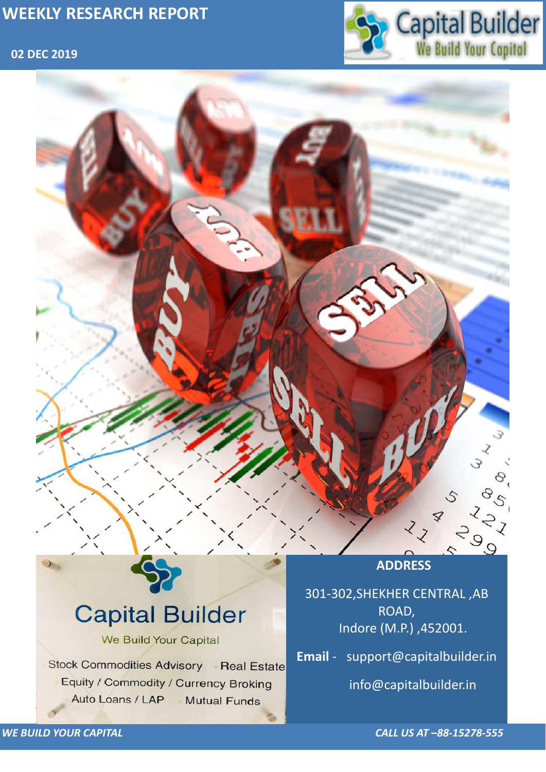## **02 DEC 2019**



*WE BUILD YOUR CAPITAL CALL US AT –88-15278-555*

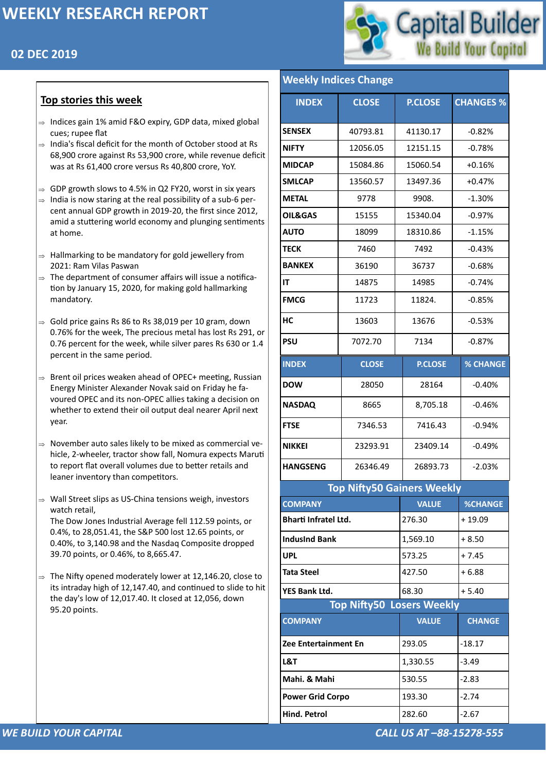## **02 DEC 2019**



#### *WE BUILD YOUR CAPITAL CALL US AT –88-15278-555*

#### **Top stories this week**

- $\Rightarrow$  Indices gain 1% amid F&O expiry, GDP data, mixed global cues; rupee flat
- $\Rightarrow$  India's fiscal deficit for the month of October stood at Rs 68,900 crore against Rs 53,900 crore, while revenue deficit was at Rs 61,400 crore versus Rs 40,800 crore, YoY.
- $\Rightarrow$  GDP growth slows to 4.5% in Q2 FY20, worst in six years
- $\Rightarrow$  India is now staring at the real possibility of a sub-6 percent annual GDP growth in 2019-20, the first since 2012, amid a stuttering world economy and plunging sentiments at home.
- $\Rightarrow$  Hallmarking to be mandatory for gold jewellery from 2021: Ram Vilas Paswan
- $\Rightarrow$  The department of consumer affairs will issue a notification by January 15, 2020, for making gold hallmarking mandatory.
- $\Rightarrow$  Gold price gains Rs 86 to Rs 38,019 per 10 gram, down 0.76% for the week, The precious metal has lost Rs 291, or 0.76 percent for the week, while silver pares Rs 630 or 1.4 percent in the same period.
- $\Rightarrow$  Brent oil prices weaken ahead of OPEC+ meeting, Russian Energy Minister Alexander Novak said on Friday he favoured OPEC and its non-OPEC allies taking a decision on whether to extend their oil output deal nearer April next year.
- $\Rightarrow$  November auto sales likely to be mixed as commercial vehicle, 2-wheeler, tractor show fall, Nomura expects Maruti to report flat overall volumes due to better retails and leaner inventory than competitors.
- $\Rightarrow$  Wall Street slips as US-China tensions weigh, investors watch retail, The Dow Jones Industrial Average fell 112.59 points, or 0.4%, to 28,051.41, the S&P 500 lost 12.65 points, or 0.40%, to 3,140.98 and the Nasdaq Composite dropped 39.70 points, or 0.46%, to 8,665.47.
- $\Rightarrow$  The Nifty opened moderately lower at 12,146.20, close to

its intraday high of 12,147.40, and continued to slide to hit the day's low of 12,017.40. It closed at 12,056, down 95.20 points.

| <b>Weekly Indices Change</b> |                                   |                |                  |  |  |  |
|------------------------------|-----------------------------------|----------------|------------------|--|--|--|
| <b>INDEX</b>                 | <b>CLOSE</b>                      | <b>P.CLOSE</b> | <b>CHANGES %</b> |  |  |  |
| <b>SENSEX</b>                | 40793.81                          | 41130.17       | $-0.82%$         |  |  |  |
| <b>NIFTY</b>                 | 12056.05                          | 12151.15       | $-0.78%$         |  |  |  |
| <b>MIDCAP</b>                | 15084.86                          | 15060.54       | $+0.16%$         |  |  |  |
| <b>SMLCAP</b>                | 13560.57                          | 13497.36       | $+0.47%$         |  |  |  |
| <b>METAL</b>                 | 9778                              | 9908.          | $-1.30%$         |  |  |  |
| <b>OIL&amp;GAS</b>           | 15155                             | 15340.04       | $-0.97%$         |  |  |  |
| <b>AUTO</b>                  | 18099                             | 18310.86       | $-1.15%$         |  |  |  |
| <b>TECK</b>                  | 7460                              | 7492           | $-0.43%$         |  |  |  |
| <b>BANKEX</b>                | 36190                             | 36737          | $-0.68%$         |  |  |  |
| IT                           | 14875                             | 14985          | $-0.74%$         |  |  |  |
| <b>FMCG</b>                  | 11723                             | 11824.         | $-0.85%$         |  |  |  |
| HC                           | 13603                             | 13676          | $-0.53%$         |  |  |  |
| <b>PSU</b>                   | 7072.70                           | 7134           | $-0.87%$         |  |  |  |
| <b>INDEX</b>                 | <b>CLOSE</b>                      | <b>P.CLOSE</b> | <b>% CHANGE</b>  |  |  |  |
| <b>DOW</b>                   | 28050                             | 28164          | $-0.40%$         |  |  |  |
| <b>NASDAQ</b>                | 8665                              | 8,705.18       | $-0.46%$         |  |  |  |
| <b>FTSE</b>                  | 7346.53                           | 7416.43        | $-0.94%$         |  |  |  |
| <b>NIKKEI</b>                | 23293.91                          | 23409.14       | $-0.49%$         |  |  |  |
| <b>HANGSENG</b>              | 26346.49                          | 26893.73       | $-2.03%$         |  |  |  |
|                              | <b>Top Nifty50 Gainers Weekly</b> |                |                  |  |  |  |
| <b>COMPANY</b>               |                                   | <b>VALUE</b>   | <b>%CHANGE</b>   |  |  |  |
| <b>Bharti Infratel Ltd.</b>  |                                   | 276.30         | $+19.09$         |  |  |  |
| <b>IndusInd Bank</b>         |                                   | 1,569.10       | $+8.50$          |  |  |  |
| <b>UPL</b>                   |                                   | 573.25         | $+7.45$          |  |  |  |

| <b>YES Bank Ltd.</b>             | 68.30        | $+5.40$       |  |  |
|----------------------------------|--------------|---------------|--|--|
| <b>Top Nifty50 Losers Weekly</b> |              |               |  |  |
| <b>COMPANY</b>                   | <b>VALUE</b> | <b>CHANGE</b> |  |  |
| <b>Zee Entertainment En</b>      | 293.05       | $-18.17$      |  |  |
| L&T                              | 1,330.55     | $-3.49$       |  |  |
| Mahi. & Mahi                     | 530.55       | $-2.83$       |  |  |
| <b>Power Grid Corpo</b>          | 193.30       | $-2.74$       |  |  |
| <b>Hind. Petrol</b>              | 282.60       | $-2.67$       |  |  |

**[Tata Steel](https://money.rediff.com/companies/tata-steel/15510001)**  $\left| \frac{427.50}{427.50} \right| + 6.88$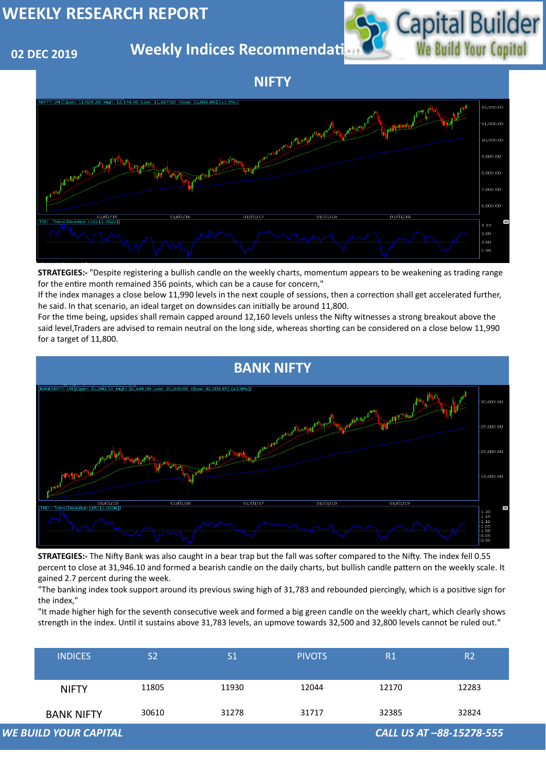## **02 DEC 2019**

**Weekly Indices Recommendati** 



| <b>INDICES</b>               | S <sub>2</sub> | S <sub>1</sub> | <b>PIVOTS</b> | R1    | R <sub>2</sub>           |
|------------------------------|----------------|----------------|---------------|-------|--------------------------|
| <b>NIFTY</b>                 | 11805          | 11930          | 12044         | 12170 | 12283                    |
| <b>BANK NIFTY</b>            | 30610          | 31278          | 31717         | 32385 | 32824                    |
| <b>WE BUILD YOUR CAPITAL</b> |                |                |               |       | CALL US AT -88-15278-555 |

#### **NIFTY**





**STRATEGIES:-** "Despite registering a bullish candle on the weekly charts, momentum appears to be weakening as trading range for the entire month remained 356 points, which can be a cause for concern,"

If the index manages a close below 11,990 levels in the next couple of sessions, then a correction shall get accelerated further, he said. In that scenario, an ideal target on downsides can initially be around 11,800.

For the time being, upsides shall remain capped around 12,160 levels unless the Nifty witnesses a strong breakout above the said level,Traders are advised to remain neutral on the long side, whereas shorting can be considered on a close below 11,990 for a target of 11,800.

**STRATEGIES:-** The Nifty Bank was also caught in a bear trap but the fall was softer compared to the Nifty. The index fell 0.55 percent to close at 31,946.10 and formed a bearish candle on the daily charts, but bullish candle pattern on the weekly scale. It gained 2.7 percent during the week.

"The banking index took support around its previous swing high of 31,783 and rebounded piercingly, which is a positive sign for the index,"

"It made higher high for the seventh consecutive week and formed a big green candle on the weekly chart, which clearly shows strength in the index. Until it sustains above 31,783 levels, an upmove towards 32,500 and 32,800 levels cannot be ruled out."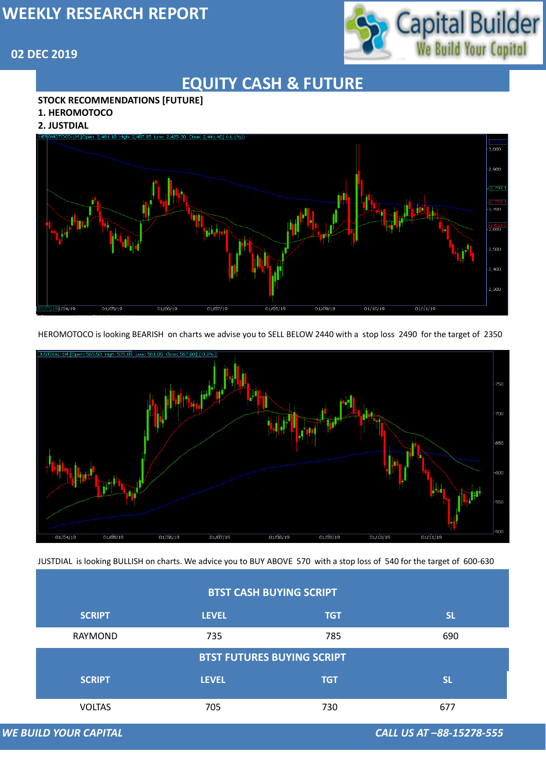# Capital Builder<br>We Build Your Copital

### **02 DEC 2019**

*WE BUILD YOUR CAPITAL CALL US AT –88-15278-555*

## **EQUITY CASH & FUTURE**

#### **STOCK RECOMMENDATIONS [FUTURE]**

#### **1. HEROMOTOCO**

#### **2. JUSTDIAL**



HEROMOTOCO is looking BEARISH on charts we advise you to SELL BELOW 2440 with a stop loss 2490 for the target of 2350



| <b>BTST CASH BUYING SCRIPT</b>    |              |            |           |  |  |
|-----------------------------------|--------------|------------|-----------|--|--|
| <b>SCRIPT</b>                     | <b>LEVEL</b> | <b>TGT</b> | <b>SL</b> |  |  |
| <b>RAYMOND</b>                    | 735          | 785        | 690       |  |  |
| <b>BTST FUTURES BUYING SCRIPT</b> |              |            |           |  |  |
| <b>SCRIPT</b>                     | <b>LEVEL</b> | <b>TGT</b> | <b>SL</b> |  |  |
| <b>VOLTAS</b>                     | 705          | 730        | 677       |  |  |

**WE BUILD YOUR CAPITAL** 

JUSTDIAL is looking BULLISH on charts. We advice you to BUY ABOVE 570 with a stop loss of 540 for the target of 600-630